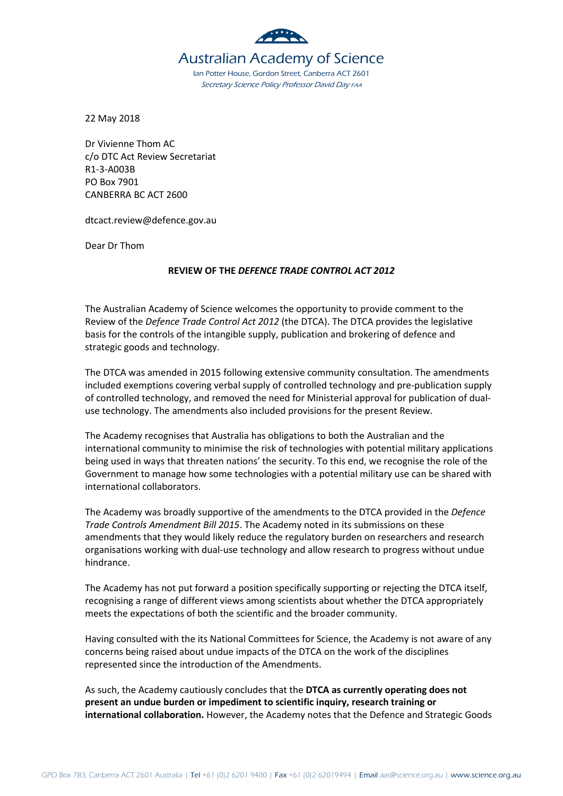

22 May 2018

Dr Vivienne Thom AC c/o DTC Act Review Secretariat R1-3-A003B PO Box 7901 CANBERRA BC ACT 2600

dtcact.review@defence.gov.au

Dear Dr Thom

## **REVIEW OF THE** *DEFENCE TRADE CONTROL ACT 2012*

The Australian Academy of Science welcomes the opportunity to provide comment to the Review of the *Defence Trade Control Act 2012* (the DTCA). The DTCA provides the legislative basis for the controls of the intangible supply, publication and brokering of defence and strategic goods and technology.

The DTCA was amended in 2015 following extensive community consultation. The amendments included exemptions covering verbal supply of controlled technology and pre-publication supply of controlled technology, and removed the need for Ministerial approval for publication of dualuse technology. The amendments also included provisions for the present Review.

The Academy recognises that Australia has obligations to both the Australian and the international community to minimise the risk of technologies with potential military applications being used in ways that threaten nations' the security. To this end, we recognise the role of the Government to manage how some technologies with a potential military use can be shared with international collaborators.

The Academy was broadly supportive of the amendments to the DTCA provided in the *Defence Trade Controls Amendment Bill 2015*. The Academy noted in its submissions on these amendments that they would likely reduce the regulatory burden on researchers and research organisations working with dual-use technology and allow research to progress without undue hindrance.

The Academy has not put forward a position specifically supporting or rejecting the DTCA itself, recognising a range of different views among scientists about whether the DTCA appropriately meets the expectations of both the scientific and the broader community.

Having consulted with the its National Committees for Science, the Academy is not aware of any concerns being raised about undue impacts of the DTCA on the work of the disciplines represented since the introduction of the Amendments.

As such, the Academy cautiously concludes that the **DTCA as currently operating does not present an undue burden or impediment to scientific inquiry, research training or international collaboration.** However, the Academy notes that the Defence and Strategic Goods